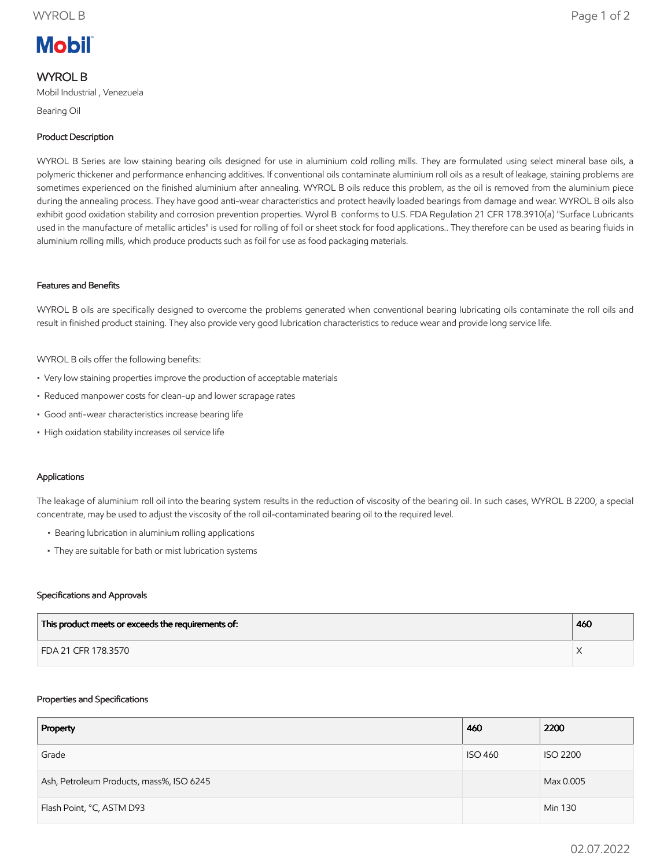# **Mobil**

## WYROL B

Mobil Industrial , Venezuela

Bearing Oil

### Product Description

WYROL B Series are low staining bearing oils designed for use in aluminium cold rolling mills. They are formulated using select mineral base oils, a polymeric thickener and performance enhancing additives. If conventional oils contaminate aluminium roll oils as a result of leakage, staining problems are sometimes experienced on the finished aluminium after annealing. WYROL B oils reduce this problem, as the oil is removed from the aluminium piece during the annealing process. They have good anti-wear characteristics and protect heavily loaded bearings from damage and wear. WYROL B oils also exhibit good oxidation stability and corrosion prevention properties. Wyrol B conforms to U.S. FDA Regulation 21 CFR 178.3910(a) "Surface Lubricants used in the manufacture of metallic articles" is used for rolling of foil or sheet stock for food applications.. They therefore can be used as bearing fluids in aluminium rolling mills, which produce products such as foil for use as food packaging materials.

#### Features and Benefits

WYROL B oils are specifically designed to overcome the problems generated when conventional bearing lubricating oils contaminate the roll oils and result in finished product staining. They also provide very good lubrication characteristics to reduce wear and provide long service life.

WYROL B oils offer the following benefits:

- Very low staining properties improve the production of acceptable materials
- Reduced manpower costs for clean-up and lower scrapage rates
- Good anti-wear characteristics increase bearing life
- High oxidation stability increases oil service life

#### Applications

The leakage of aluminium roll oil into the bearing system results in the reduction of viscosity of the bearing oil. In such cases, WYROL B 2200, a special concentrate, may be used to adjust the viscosity of the roll oil-contaminated bearing oil to the required level.

- Bearing lubrication in aluminium rolling applications
- They are suitable for bath or mist lubrication systems

#### Specifications and Approvals

| This product meets or exceeds the requirements of: | 460 |
|----------------------------------------------------|-----|
| FDA 21 CFR 178.3570                                |     |

#### Properties and Specifications

| Property                                 | 460            | 2200            |
|------------------------------------------|----------------|-----------------|
| Grade                                    | <b>ISO 460</b> | <b>ISO 2200</b> |
| Ash, Petroleum Products, mass%, ISO 6245 |                | Max 0.005       |
| Flash Point, °C, ASTM D93                |                | Min 130         |